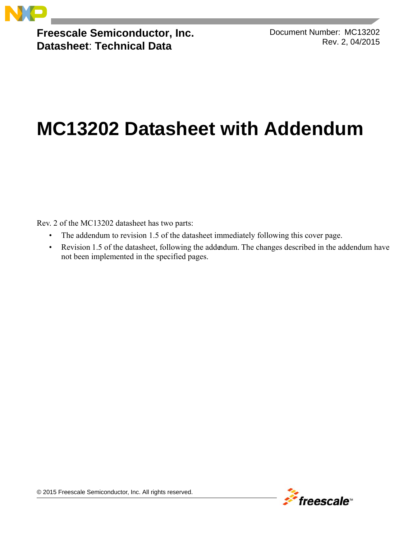

**Freescale Semiconductor, Inc. Datasheet**: **Technical Data**

Document Number: MC13202 Rev. 2, 04/2015

# **MC13202 Datasheet with Addendum**

Rev. 2 of the MC13202 datasheet has two parts:

- The addendum to revision 1.5 of the datasheet immediately following this cover page.
- Revision 1.5 of the datasheet, following the addendum. The changes described in the addendum have not been implemented in the specified pages.

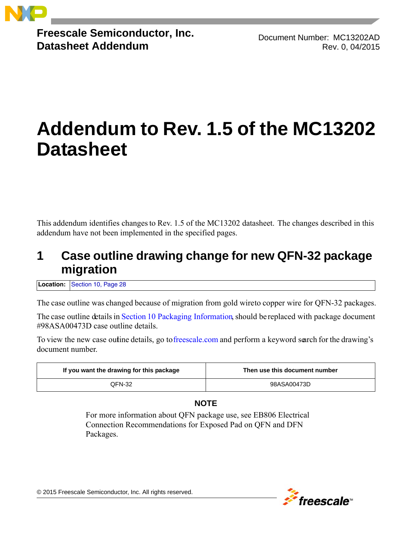

**Freescale Semiconductor, Inc. Datasheet Addendum**

Document Number: MC13202AD Rev. 0, 04/2015

# **Addendum to Rev. 1.5 of the MC13202 Datasheet**

This addendum identifies changes to Rev. 1.5 of the MC13202 datasheet. The changes described in this addendum have not been implemented in the specified pages.

## **1 Case outline drawing change for new QFN-32 package migration**

**Location:** [Section 10, Page 28](#page-30-0)

The case outline was changed because of migration from gold wire to copper wire for QFN-32 packages.

The case outline details in [Section 10 Packaging Information,](#page-30-0) should be replaced with package document #98ASA00473D case outline details.

To view the new case outine details, go t[o freescale.com](www.freescale.com) and perform a keyword search for the drawing's document number.

| If you want the drawing for this package | Then use this document number |
|------------------------------------------|-------------------------------|
| QFN-32                                   | 98ASA00473D                   |

#### **NOTE**

For more information about QFN package use, see EB806 Electrical Connection Recommendations for Exposed Pad on QFN and DFN Packages.



© 2015 Freescale Semiconductor, Inc. All rights reserved.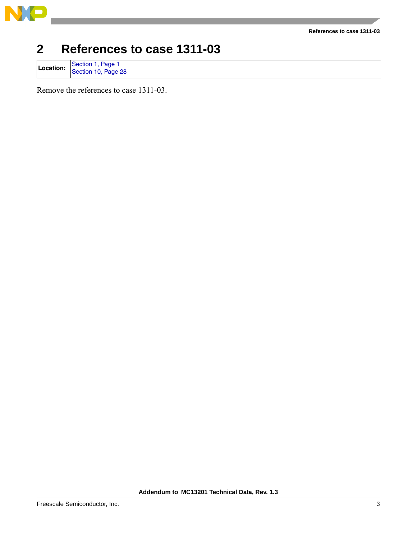

#### **References to case 1311-03**

## **2 References to case 1311-03**

Location: [Section 1, Page 1](#page-3-0)<br>[Section 10, Page 28](#page-30-0)

Remove the references to case 1311-03.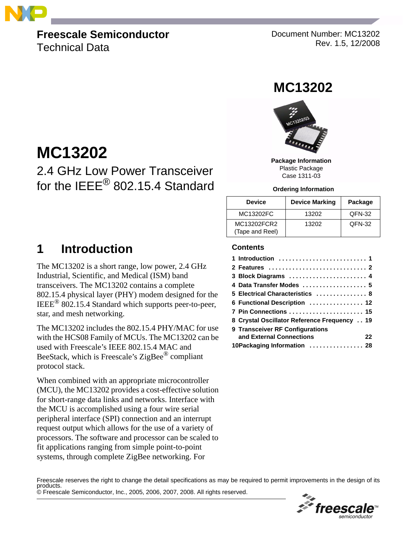<span id="page-3-0"></span>

## **Freescale Semiconductor**

Technical Data

**MC13202**

Document Number: MC13202 Rev. 1.5, 12/2008

## **MC13202**



**Package Information** Plastic Package Case 1311-03

#### **Ordering Information**

| <b>Device</b>                  | <b>Device Marking</b> | Package |
|--------------------------------|-----------------------|---------|
| MC13202FC                      | 13202                 | QFN-32  |
| MC13202FCR2<br>(Tape and Reel) | 13202                 | QFN-32  |

## <span id="page-3-1"></span>**1 Introduction**

The MC13202 is a short range, low power, 2.4 GHz Industrial, Scientific, and Medical (ISM) band transceivers. The MC13202 contains a complete 802.15.4 physical layer (PHY) modem designed for the IEEE® 802.15.4 Standard which supports peer-to-peer, star, and mesh networking.

2.4 GHz Low Power Transceiver

for the IEEE<sup>®</sup> 802.15.4 Standard

The MC13202 includes the 802.15.4 PHY/MAC for use with the HCS08 Family of MCUs. The MC13202 can be used with Freescale's IEEE 802.15.4 MAC and BeeStack, which is Freescale's ZigBee® compliant protocol stack.

When combined with an appropriate microcontroller (MCU), the MC13202 provides a cost-effective solution for short-range data links and networks. Interface with the MCU is accomplished using a four wire serial peripheral interface (SPI) connection and an interrupt request output which allows for the use of a variety of processors. The software and processor can be scaled to fit applications ranging from simple point-to-point systems, through complete ZigBee networking. For

#### **Contents**

| 3 Block Diagrams  4                         |
|---------------------------------------------|
| 4 Data Transfer Modes  5                    |
| 5 Electrical Characteristics  8             |
| 6 Functional Description  12                |
| 7 Pin Connections  15                       |
| 8 Crystal Oscillator Reference Frequency 19 |
| 9 Transceiver RF Configurations             |
| and External Connections<br>22              |
| 10Packaging Information  28                 |

© Freescale Semiconductor, Inc., 2005, 2006, 2007, 2008. All rights reserved. Freescale reserves the right to change the detail specifications as may be required to permit improvements in the design of its

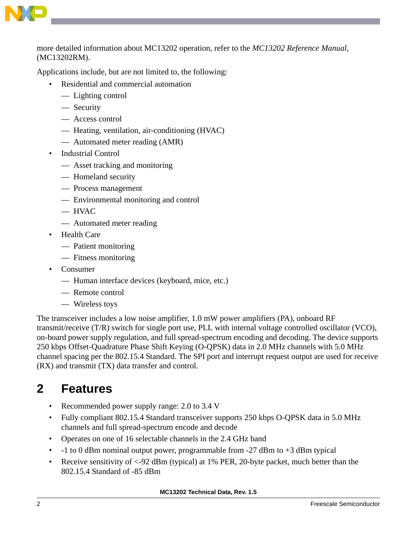

more detailed information about MC13202 operation, refer to the *MC13202 Reference Manual*, (MC13202RM).

Applications include, but are not limited to, the following:

- Residential and commercial automation
	- Lighting control
	- Security
	- Access control
	- Heating, ventilation, air-conditioning (HVAC)
	- Automated meter reading (AMR)
- Industrial Control
	- Asset tracking and monitoring
	- Homeland security
	- Process management
	- Environmental monitoring and control
	- HVAC
	- Automated meter reading
- Health Care
	- Patient monitoring
	- Fitness monitoring
- Consumer
	- Human interface devices (keyboard, mice, etc.)
	- Remote control
	- Wireless toys

The transceiver includes a low noise amplifier, 1.0 mW power amplifiers (PA), onboard RF transmit/receive (T/R) switch for single port use, PLL with internal voltage controlled oscillator (VCO), on-board power supply regulation, and full spread-spectrum encoding and decoding. The device supports 250 kbps Offset-Quadrature Phase Shift Keying (O-QPSK) data in 2.0 MHz channels with 5.0 MHz channel spacing per the 802.15.4 Standard. The SPI port and interrupt request output are used for receive (RX) and transmit (TX) data transfer and control.

## <span id="page-4-0"></span>**2 Features**

- Recommended power supply range: 2.0 to 3.4 V
- Fully compliant 802.15.4 Standard transceiver supports 250 kbps O-QPSK data in 5.0 MHz channels and full spread-spectrum encode and decode
- Operates on one of 16 selectable channels in the 2.4 GHz band
- -1 to 0 dBm nominal output power, programmable from -27 dBm to +3 dBm typical
- Receive sensitivity of <-92 dBm (typical) at 1% PER, 20-byte packet, much better than the 802.15.4 Standard of -85 dBm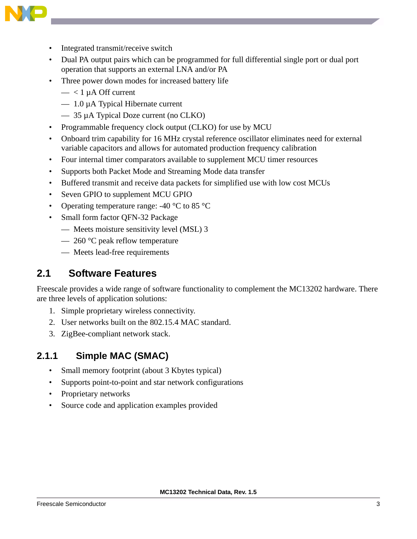

- Integrated transmit/receive switch
- Dual PA output pairs which can be programmed for full differential single port or dual port operation that supports an external LNA and/or PA
- Three power down modes for increased battery life
	- $-$  < 1 µ A Off current
	- $-1.0 \mu A$  Typical Hibernate current
	- 35 µA Typical Doze current (no CLKO)
- Programmable frequency clock output (CLKO) for use by MCU
- Onboard trim capability for 16 MHz crystal reference oscillator eliminates need for external variable capacitors and allows for automated production frequency calibration
- Four internal timer comparators available to supplement MCU timer resources
- Supports both Packet Mode and Streaming Mode data transfer
- Buffered transmit and receive data packets for simplified use with low cost MCUs
- Seven GPIO to supplement MCU GPIO
- Operating temperature range:  $-40\degree\text{C}$  to 85  $\degree\text{C}$
- Small form factor OFN-32 Package
	- Meets moisture sensitivity level (MSL) 3
	- $-260$  °C peak reflow temperature
	- Meets lead-free requirements

#### **2.1 Software Features**

Freescale provides a wide range of software functionality to complement the MC13202 hardware. There are three levels of application solutions:

- 1. Simple proprietary wireless connectivity.
- 2. User networks built on the 802.15.4 MAC standard.
- 3. ZigBee-compliant network stack.

#### **2.1.1 Simple MAC (SMAC)**

- Small memory footprint (about 3 Kbytes typical)
- Supports point-to-point and star network configurations
- Proprietary networks
- Source code and application examples provided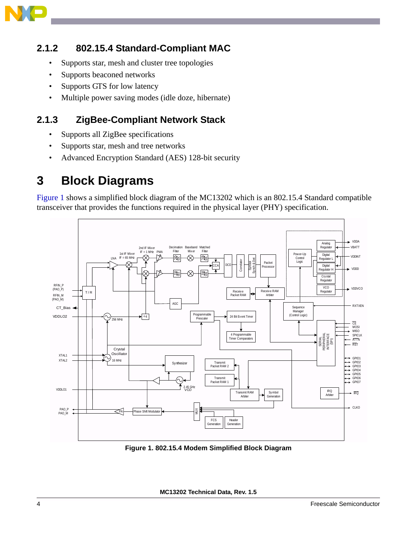

#### **2.1.2 802.15.4 Standard-Compliant MAC**

- Supports star, mesh and cluster tree topologies
- Supports beaconed networks
- Supports GTS for low latency
- Multiple power saving modes (idle doze, hibernate)

#### **2.1.3 ZigBee-Compliant Network Stack**

- Supports all ZigBee specifications
- Supports star, mesh and tree networks
- Advanced Encryption Standard (AES) 128-bit security

## <span id="page-6-0"></span>**3 Block Diagrams**

[Figure 1](#page-6-1) shows a simplified block diagram of the MC13202 which is an 802.15.4 Standard compatible transceiver that provides the functions required in the physical layer (PHY) specification.



<span id="page-6-1"></span>**Figure 1. 802.15.4 Modem Simplified Block Diagram**

**MC13202 Technical Data, Rev. 1.5**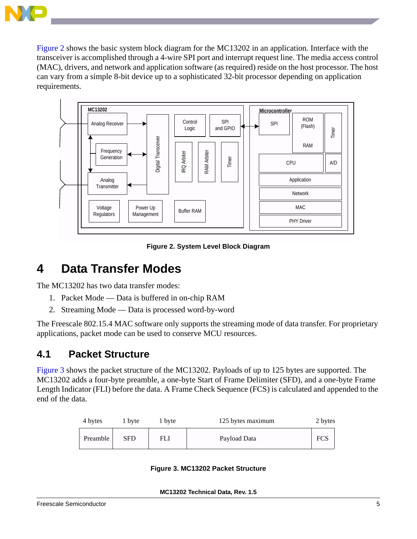

[Figure 2](#page-7-1) shows the basic system block diagram for the MC13202 in an application. Interface with the transceiver is accomplished through a 4-wire SPI port and interrupt request line. The media access control (MAC), drivers, and network and application software (as required) reside on the host processor. The host can vary from a simple 8-bit device up to a sophisticated 32-bit processor depending on application requirements.



**Figure 2. System Level Block Diagram**

## <span id="page-7-1"></span><span id="page-7-0"></span>**4 Data Transfer Modes**

The MC13202 has two data transfer modes:

- 1. Packet Mode Data is buffered in on-chip RAM
- 2. Streaming Mode Data is processed word-by-word

The Freescale 802.15.4 MAC software only supports the streaming mode of data transfer. For proprietary applications, packet mode can be used to conserve MCU resources.

#### **4.1 Packet Structure**

[Figure 3](#page-7-2) shows the packet structure of the MC13202. Payloads of up to 125 bytes are supported. The MC13202 adds a four-byte preamble, a one-byte Start of Frame Delimiter (SFD), and a one-byte Frame Length Indicator (FLI) before the data. A Frame Check Sequence (FCS) is calculated and appended to the end of the data.

<span id="page-7-2"></span>

| 4 bytes  | 1 byte | 1 byte | 125 bytes maximum | 2 bytes    |
|----------|--------|--------|-------------------|------------|
| Preamble | SFD    | FLI    | Payload Data      | <b>FCS</b> |

**Figure 3. MC13202 Packet Structure**

**MC13202 Technical Data, Rev. 1.5**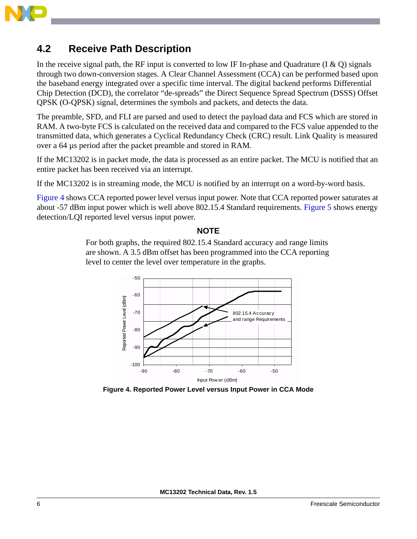

#### **4.2 Receive Path Description**

In the receive signal path, the RF input is converted to low IF In-phase and Quadrature (I  $\&$  O) signals through two down-conversion stages. A Clear Channel Assessment (CCA) can be performed based upon the baseband energy integrated over a specific time interval. The digital backend performs Differential Chip Detection (DCD), the correlator "de-spreads" the Direct Sequence Spread Spectrum (DSSS) Offset QPSK (O-QPSK) signal, determines the symbols and packets, and detects the data.

The preamble, SFD, and FLI are parsed and used to detect the payload data and FCS which are stored in RAM. A two-byte FCS is calculated on the received data and compared to the FCS value appended to the transmitted data, which generates a Cyclical Redundancy Check (CRC) result. Link Quality is measured over a 64 µs period after the packet preamble and stored in RAM.

If the MC13202 is in packet mode, the data is processed as an entire packet. The MCU is notified that an entire packet has been received via an interrupt.

If the MC13202 is in streaming mode, the MCU is notified by an interrupt on a word-by-word basis.

[Figure 4](#page-8-0) shows CCA reported power level versus input power. Note that CCA reported power saturates at about -57 dBm input power which is well above 802.15.4 Standard requirements. [Figure 5](#page-9-0) shows energy detection/LQI reported level versus input power.

#### **NOTE**

For both graphs, the required 802.15.4 Standard accuracy and range limits are shown. A 3.5 dBm offset has been programmed into the CCA reporting level to center the level over temperature in the graphs.



<span id="page-8-0"></span>**Figure 4. Reported Power Level versus Input Power in CCA Mode**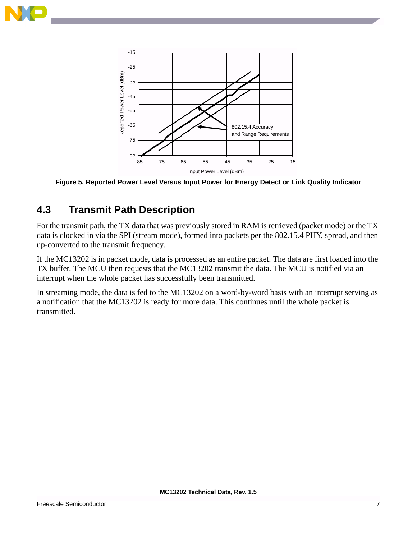



<span id="page-9-0"></span>**Figure 5. Reported Power Level Versus Input Power for Energy Detect or Link Quality Indicator**

## **4.3 Transmit Path Description**

For the transmit path, the TX data that was previously stored in RAM is retrieved (packet mode) or the TX data is clocked in via the SPI (stream mode), formed into packets per the 802.15.4 PHY, spread, and then up-converted to the transmit frequency.

If the MC13202 is in packet mode, data is processed as an entire packet. The data are first loaded into the TX buffer. The MCU then requests that the MC13202 transmit the data. The MCU is notified via an interrupt when the whole packet has successfully been transmitted.

In streaming mode, the data is fed to the MC13202 on a word-by-word basis with an interrupt serving as a notification that the MC13202 is ready for more data. This continues until the whole packet is transmitted.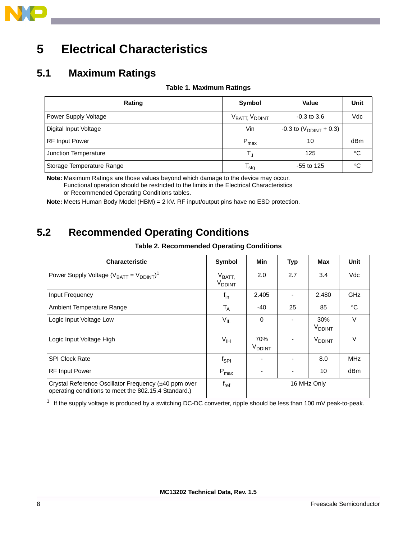

## <span id="page-10-0"></span>**5 Electrical Characteristics**

#### **5.1 Maximum Ratings**

#### **Table 1. Maximum Ratings**

| Rating                    | Symbol           | Value                       | Unit         |
|---------------------------|------------------|-----------------------------|--------------|
| Power Supply Voltage      | VBATT, VDDINT    | $-0.3$ to 3.6               | Vdc          |
| Digital Input Voltage     | Vin              | -0.3 to $(V_{DDINT} + 0.3)$ |              |
| <b>RF</b> Input Power     | $P_{\text{max}}$ | 10                          | dBm          |
| Junction Temperature      |                  | 125                         | $^{\circ}$ C |
| Storage Temperature Range | <sup>I</sup> sta | $-55$ to 125                | ℃            |

**Note:** Maximum Ratings are those values beyond which damage to the device may occur. Functional operation should be restricted to the limits in the Electrical Characteristics or Recommended Operating Conditions tables.

**Note:** Meets Human Body Model (HBM) = 2 kV. RF input/output pins have no ESD protection.

### **5.2 Recommended Operating Conditions**

| <b>Table 2. Recommended Operating Conditions</b> |  |  |
|--------------------------------------------------|--|--|
|--------------------------------------------------|--|--|

| <b>Characteristic</b>                                                                                        | Symbol                                         | Min                              | Typ | Max                             | Unit        |
|--------------------------------------------------------------------------------------------------------------|------------------------------------------------|----------------------------------|-----|---------------------------------|-------------|
| Power Supply Voltage $(V_{BATT} = V_{DDINT})^1$                                                              | $V_{\text{BATT},}$<br><b>V<sub>DDINT</sub></b> | 2.0                              | 2.7 | 3.4                             | Vdc         |
| Input Frequency                                                                                              | $f_{\text{in}}$                                | 2.405                            |     | 2.480                           | <b>GHz</b>  |
| Ambient Temperature Range                                                                                    | $T_A$                                          | -40                              | 25  | 85                              | $^{\circ}C$ |
| Logic Input Voltage Low                                                                                      | $V_{IL}$                                       | $\Omega$                         |     | 30%<br><b>V<sub>DDINT</sub></b> | $\vee$      |
| Logic Input Voltage High                                                                                     | V <sub>IH</sub>                                | 70%<br><b>V</b> <sub>DDINT</sub> |     | V <sub>DDINT</sub>              | $\vee$      |
| <b>SPI Clock Rate</b>                                                                                        | $f_{\sf SPI}$                                  |                                  |     | 8.0                             | <b>MHz</b>  |
| <b>RF Input Power</b>                                                                                        | $P_{\text{max}}$                               |                                  |     | 10                              | dBm         |
| Crystal Reference Oscillator Frequency (±40 ppm over<br>operating conditions to meet the 802.15.4 Standard.) | $f_{ref}$                                      | 16 MHz Only                      |     |                                 |             |

 $1$  If the supply voltage is produced by a switching DC-DC converter, ripple should be less than 100 mV peak-to-peak.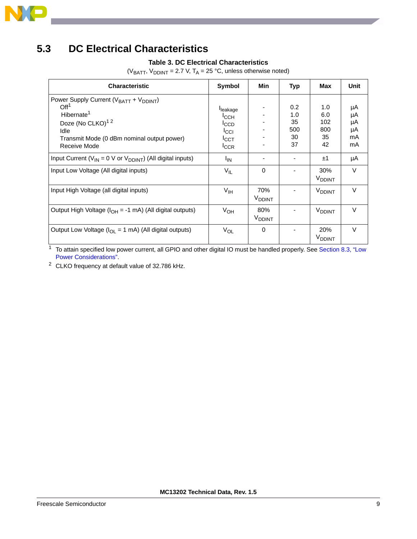

## <span id="page-11-1"></span>**5.3 DC Electrical Characteristics**

#### **Table 3. DC Electrical Characteristics**

( $V_{BATT}$ ,  $V_{DDINT}$  = 2.7 V, T<sub>A</sub> = 25 °C, unless otherwise noted)

| <b>Characteristic</b>                                                                                                                                                                                              | Symbol                                                 | Min                             | Typ                                 | Max                                  | Unit                             |
|--------------------------------------------------------------------------------------------------------------------------------------------------------------------------------------------------------------------|--------------------------------------------------------|---------------------------------|-------------------------------------|--------------------------------------|----------------------------------|
| Power Supply Current (V <sub>BATT</sub> + V <sub>DDINT</sub> )<br>Off <sup>1</sup><br>Hibernate <sup>1</sup><br>Doze (No CLKO) <sup>12</sup><br>Idle<br>Transmit Mode (0 dBm nominal output power)<br>Receive Mode | leakage<br>ICCH<br>ICCD<br>ICCI<br>ICCT<br><b>ICCR</b> |                                 | 0.2<br>1.0<br>35<br>500<br>30<br>37 | 1.0<br>6.0<br>102<br>800<br>35<br>42 | μA<br>μA<br>μA<br>μA<br>mA<br>mA |
| Input Current ( $V_{IN}$ = 0 V or $V_{DDINT}$ ) (All digital inputs)                                                                                                                                               | <sup>I</sup> IN                                        |                                 |                                     | ±1                                   | μA                               |
| Input Low Voltage (All digital inputs)                                                                                                                                                                             | $V_{IL}$                                               | $\Omega$                        |                                     | 30%<br>V <sub>DDINT</sub>            | V                                |
| Input High Voltage (all digital inputs)                                                                                                                                                                            | $V_{\text{IH}}$                                        | 70%<br>V <sub>DDINT</sub>       |                                     | <b>V</b> <sub>DDINT</sub>            | V                                |
| Output High Voltage (I <sub>OH</sub> = -1 mA) (All digital outputs)                                                                                                                                                | $V_{OH}$                                               | 80%<br><b>V<sub>DDINT</sub></b> |                                     | <b>V</b> <sub>DDINT</sub>            | V                                |
| Output Low Voltage ( $I_{OL}$ = 1 mA) (All digital outputs)                                                                                                                                                        | $V_{OL}$                                               | $\Omega$                        |                                     | 20%<br><b>V<sub>DDINT</sub></b>      | V                                |

<span id="page-11-0"></span>1 To attain specified low power current, all GPIO and other digital IO must be handled properly. See Section 8.3, "Low [Power Considerations".](#page-23-0)

<sup>2</sup> CLKO frequency at default value of 32.786 kHz.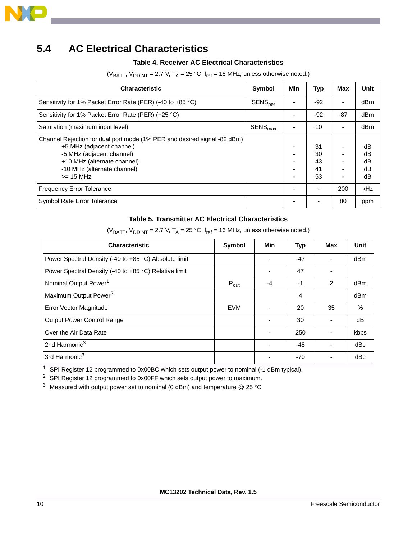

### **5.4 AC Electrical Characteristics**

#### **Table 4. Receiver AC Electrical Characteristics**

| <b>Characteristic</b>                                                                                                                                                                                           | <b>Symbol</b>       | Min | Typ                        | Max            | Unit                       |
|-----------------------------------------------------------------------------------------------------------------------------------------------------------------------------------------------------------------|---------------------|-----|----------------------------|----------------|----------------------------|
| Sensitivity for 1% Packet Error Rate (PER) (-40 to +85 °C)                                                                                                                                                      | SENS <sub>per</sub> |     | $-92$                      |                | dBm                        |
| Sensitivity for 1% Packet Error Rate (PER) (+25 °C)                                                                                                                                                             |                     |     | $-92$                      | $-87$          | dBm                        |
| Saturation (maximum input level)                                                                                                                                                                                | SENS <sub>max</sub> |     | 10                         | ٠              | dBm                        |
| Channel Rejection for dual port mode (1% PER and desired signal -82 dBm)<br>+5 MHz (adjacent channel)<br>-5 MHz (adjacent channel)<br>+10 MHz (alternate channel)<br>-10 MHz (alternate channel)<br>$>= 15 MHz$ |                     |     | 31<br>30<br>43<br>41<br>53 | $\overline{a}$ | dB<br>dB<br>dB<br>dB<br>dB |
| <b>Frequency Error Tolerance</b>                                                                                                                                                                                |                     |     | -                          | 200            | kHz                        |
| Symbol Rate Error Tolerance                                                                                                                                                                                     |                     |     |                            | 80             | ppm                        |

( $V_{BATT}$ ,  $V_{DDINT}$  = 2.7 V,  $T_A$  = 25 °C,  $f_{ref}$  = 16 MHz, unless otherwise noted.)

#### **Table 5. Transmitter AC Electrical Characteristics**

| <b>Characteristic</b>                                 | Symbol           | Min                      | Typ   | Max                      | Unit |
|-------------------------------------------------------|------------------|--------------------------|-------|--------------------------|------|
| Power Spectral Density (-40 to +85 °C) Absolute limit |                  |                          | $-47$ |                          | dBm  |
| Power Spectral Density (-40 to +85 °C) Relative limit |                  | $\overline{\phantom{0}}$ | 47    | $\overline{\phantom{0}}$ |      |
| Nominal Output Power <sup>1</sup>                     | $P_{\text{out}}$ | $-4$                     | $-1$  | 2                        | dBm  |
| Maximum Output Power <sup>2</sup>                     |                  |                          | 4     |                          | dBm  |
| Error Vector Magnitude                                | <b>EVM</b>       | $\blacksquare$           | 20    | 35                       | $\%$ |
| <b>Output Power Control Range</b>                     |                  | ٠                        | 30    |                          | dB   |
| Over the Air Data Rate                                |                  |                          | 250   |                          | kbps |
| 2nd Harmonic <sup>3</sup>                             |                  |                          | -48   |                          | dBc  |
| 3rd Harmonic <sup>3</sup>                             |                  |                          | $-70$ |                          | dBc  |

( $V_{BAT}$ ,  $V_{DDINT}$  = 2.7 V, T<sub>A</sub> = 25 °C,  $f_{ref}$  = 16 MHz, unless otherwise noted.)

<sup>1</sup> SPI Register 12 programmed to 0x00BC which sets output power to nominal (-1 dBm typical).

<sup>2</sup> SPI Register 12 programmed to 0x00FF which sets output power to maximum.

<span id="page-12-0"></span><sup>3</sup> Measured with output power set to nominal (0 dBm) and temperature  $@$  25 °C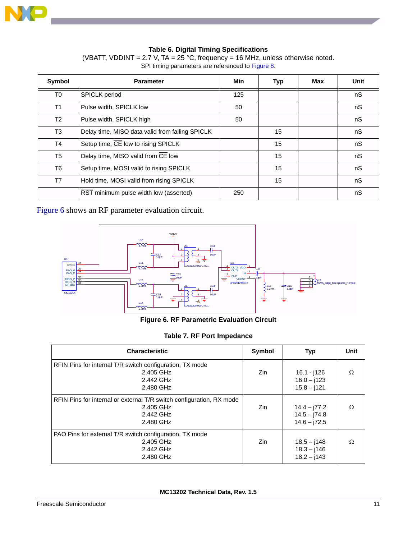

#### **Table 6. Digital Timing Specifications**

(VBATT, VDDINT = 2.7 V, TA =  $25^{\circ}$ C, frequency = 16 MHz, unless otherwise noted. SPI timing parameters are referenced to [Figure 8](#page-15-0).

<span id="page-13-1"></span>

| Symbol         | <b>Parameter</b>                                | Min | <b>Typ</b> | Max | Unit |
|----------------|-------------------------------------------------|-----|------------|-----|------|
| T <sub>0</sub> | <b>SPICLK</b> period                            | 125 |            |     | nS   |
| T <sub>1</sub> | Pulse width, SPICLK low                         | 50  |            |     | nS   |
| T <sub>2</sub> | Pulse width, SPICLK high                        | 50  |            |     | nS   |
| T3             | Delay time, MISO data valid from falling SPICLK |     | 15         |     | nS   |
| T4             | Setup time, CE low to rising SPICLK             |     | 15         |     | nS   |
| T <sub>5</sub> | Delay time, MISO valid from CE low              |     | 15         |     | nS   |
| T6             | Setup time, MOSI valid to rising SPICLK         |     | 15         |     | nS   |
| T7             | Hold time, MOSI valid from rising SPICLK        |     | 15         |     | nS   |
|                | RST minimum pulse width low (asserted)          | 250 |            |     | nS   |

[Figure 6](#page-13-0) shows an RF parameter evaluation circuit.



**Figure 6. RF Parametric Evaluation Circuit**

|  |  |  |  | Table 7. RF Port Impedance |
|--|--|--|--|----------------------------|
|--|--|--|--|----------------------------|

<span id="page-13-0"></span>

| <b>Characteristic</b>                                                                                       | Symbol | <b>Typ</b>                                        | Unit     |
|-------------------------------------------------------------------------------------------------------------|--------|---------------------------------------------------|----------|
| RFIN Pins for internal T/R switch configuration, TX mode<br>2.405 GHz<br>2.442 GHz<br>2.480 GHz             | Zin    | 16.1 - j126<br>$16.0 - j123$<br>$15.8 - j121$     | Ω        |
| RFIN Pins for internal or external T/R switch configuration, RX mode<br>2.405 GHz<br>2.442 GHz<br>2.480 GHz | Zin    | $14.4 - 77.2$<br>$14.5 - j74.8$<br>$14.6 - j72.5$ | $\Omega$ |
| PAO Pins for external T/R switch configuration, TX mode<br>2.405 GHz<br>2.442 GHz<br>2.480 GHz              | Zin    | $18.5 - j148$<br>$18.3 - j146$<br>$18.2 - j143$   | Ω        |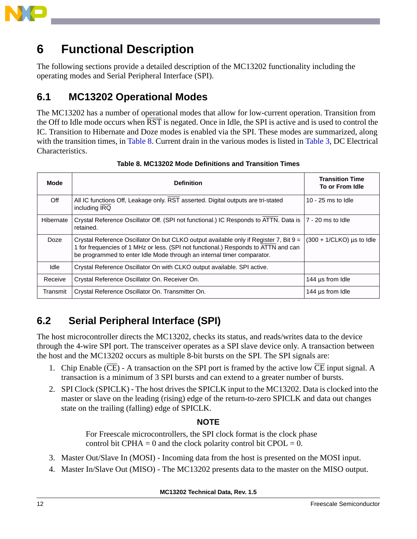

## <span id="page-14-0"></span>**6 Functional Description**

The following sections provide a detailed description of the MC13202 functionality including the operating modes and Serial Peripheral Interface (SPI).

### **6.1 MC13202 Operational Modes**

The MC13202 has a number of operational modes that allow for low-current operation. Transition from the Off to Idle mode occurs when RST is negated. Once in Idle, the SPI is active and is used to control the IC. Transition to Hibernate and Doze modes is enabled via the SPI. These modes are summarized, along with the transition times, in [Table 8.](#page-14-1) Current drain in the various modes is listed in [Table 3](#page-11-1), DC Electrical Characteristics.

<span id="page-14-1"></span>

| Mode      | <b>Definition</b>                                                                                                                                                                                                                                       | <b>Transition Time</b><br>To or From Idle |
|-----------|---------------------------------------------------------------------------------------------------------------------------------------------------------------------------------------------------------------------------------------------------------|-------------------------------------------|
| Off       | All IC functions Off, Leakage only. RST asserted. Digital outputs are tri-stated<br>including IRQ                                                                                                                                                       | 10 - $25$ ms to Idle                      |
| Hibernate | Crystal Reference Oscillator Off. (SPI not functional.) IC Responds to ATTN. Data is<br>retained.                                                                                                                                                       | l 7 - 20 ms to Idle                       |
| Doze      | Crystal Reference Oscillator On but CLKO output available only if Register 7, Bit $9 =$<br>1 for frequencies of 1 MHz or less. (SPI not functional.) Responds to ATTN and can<br>be programmed to enter Idle Mode through an internal timer comparator. | $(300 + 1/CLKO)$ us to Idle               |
| Idle      | Crystal Reference Oscillator On with CLKO output available. SPI active.                                                                                                                                                                                 |                                           |
| Receive   | Crystal Reference Oscillator On. Receiver On.                                                                                                                                                                                                           | 144 µs from Idle                          |
| Transmit  | Crystal Reference Oscillator On. Transmitter On.                                                                                                                                                                                                        | 144 µs from Idle                          |

**Table 8. MC13202 Mode Definitions and Transition Times**

## **6.2 Serial Peripheral Interface (SPI)**

The host microcontroller directs the MC13202, checks its status, and reads/writes data to the device through the 4-wire SPI port. The transceiver operates as a SPI slave device only. A transaction between the host and the MC13202 occurs as multiple 8-bit bursts on the SPI. The SPI signals are:

- 1. Chip Enable ( $\overline{CE}$ ) A transaction on the SPI port is framed by the active low  $\overline{CE}$  input signal. A transaction is a minimum of 3 SPI bursts and can extend to a greater number of bursts.
- 2. SPI Clock (SPICLK) The host drives the SPICLK input to the MC13202. Data is clocked into the master or slave on the leading (rising) edge of the return-to-zero SPICLK and data out changes state on the trailing (falling) edge of SPICLK.

#### **NOTE**

For Freescale microcontrollers, the SPI clock format is the clock phase control bit CPHA = 0 and the clock polarity control bit CPOL = 0.

- 3. Master Out/Slave In (MOSI) Incoming data from the host is presented on the MOSI input.
- 4. Master In/Slave Out (MISO) The MC13202 presents data to the master on the MISO output.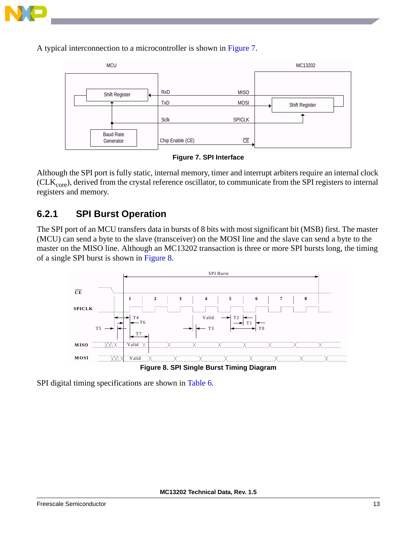

A typical interconnection to a microcontroller is shown in [Figure 7](#page-15-1).



**Figure 7. SPI Interface**

<span id="page-15-1"></span>Although the SPI port is fully static, internal memory, timer and interrupt arbiters require an internal clock  $(CLK<sub>core</sub>)$ , derived from the crystal reference oscillator, to communicate from the SPI registers to internal registers and memory.

#### **6.2.1 SPI Burst Operation**

The SPI port of an MCU transfers data in bursts of 8 bits with most significant bit (MSB) first. The master (MCU) can send a byte to the slave (transceiver) on the MOSI line and the slave can send a byte to the master on the MISO line. Although an MC13202 transaction is three or more SPI bursts long, the timing of a single SPI burst is shown in [Figure 8](#page-15-0).



<span id="page-15-0"></span>SPI digital timing specifications are shown in [Table 6.](#page-13-1)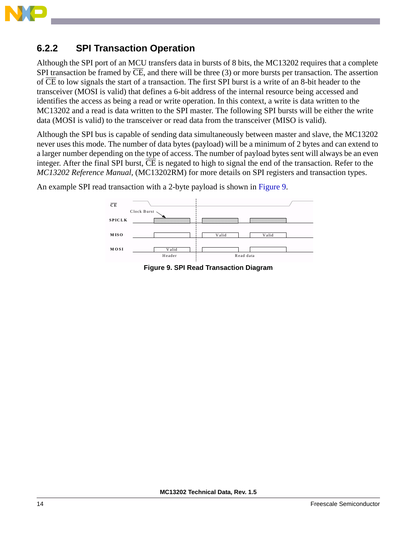

#### **6.2.2 SPI Transaction Operation**

Although the SPI port of an MCU transfers data in bursts of 8 bits, the MC13202 requires that a complete SPI transaction be framed by  $\overline{\text{CE}}$ , and there will be three (3) or more bursts per transaction. The assertion of CE to low signals the start of a transaction. The first SPI burst is a write of an 8-bit header to the transceiver (MOSI is valid) that defines a 6-bit address of the internal resource being accessed and identifies the access as being a read or write operation. In this context, a write is data written to the MC13202 and a read is data written to the SPI master. The following SPI bursts will be either the write data (MOSI is valid) to the transceiver or read data from the transceiver (MISO is valid).

Although the SPI bus is capable of sending data simultaneously between master and slave, the MC13202 never uses this mode. The number of data bytes (payload) will be a minimum of 2 bytes and can extend to a larger number depending on the type of access. The number of payload bytes sent will always be an even integer. After the final SPI burst,  $\overline{\text{CE}}$  is negated to high to signal the end of the transaction. Refer to the *MC13202 Reference Manual*, (MC13202RM) for more details on SPI registers and transaction types.



<span id="page-16-0"></span>An example SPI read transaction with a 2-byte payload is shown in [Figure 9](#page-16-0).

**Figure 9. SPI Read Transaction Diagram**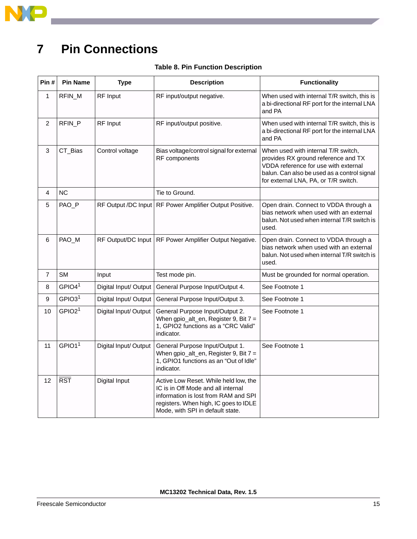

## <span id="page-17-0"></span>**7 Pin Connections**

| Pin#            | <b>Pin Name</b>         | <b>Type</b>           | <b>Description</b>                                                                                                                                                                               | <b>Functionality</b>                                                                                                                                                                                      |
|-----------------|-------------------------|-----------------------|--------------------------------------------------------------------------------------------------------------------------------------------------------------------------------------------------|-----------------------------------------------------------------------------------------------------------------------------------------------------------------------------------------------------------|
| 1               | RFIN_M                  | RF Input              | RF input/output negative.                                                                                                                                                                        | When used with internal T/R switch, this is<br>a bi-directional RF port for the internal LNA<br>and PA                                                                                                    |
| $\overline{2}$  | RFIN_P                  | RF Input              | RF input/output positive.                                                                                                                                                                        | When used with internal T/R switch, this is<br>a bi-directional RF port for the internal LNA<br>and PA                                                                                                    |
| 3               | CT_Bias                 | Control voltage       | Bias voltage/control signal for external<br>RF components                                                                                                                                        | When used with internal T/R switch,<br>provides RX ground reference and TX<br>VDDA reference for use with external<br>balun. Can also be used as a control signal<br>for external LNA, PA, or T/R switch. |
| 4               | <b>NC</b>               |                       | Tie to Ground.                                                                                                                                                                                   |                                                                                                                                                                                                           |
| 5               | PAO_P                   |                       | RF Output /DC Input   RF Power Amplifier Output Positive.                                                                                                                                        | Open drain. Connect to VDDA through a<br>bias network when used with an external<br>balun. Not used when internal T/R switch is<br>used.                                                                  |
| 6               | PAO_M                   |                       | RF Output/DC Input   RF Power Amplifier Output Negative.                                                                                                                                         | Open drain. Connect to VDDA through a<br>bias network when used with an external<br>balun. Not used when internal T/R switch is<br>used.                                                                  |
| $\overline{7}$  | <b>SM</b>               | Input                 | Test mode pin.                                                                                                                                                                                   | Must be grounded for normal operation.                                                                                                                                                                    |
| 8               | GPIO4 <sup>1</sup>      | Digital Input/ Output | General Purpose Input/Output 4.                                                                                                                                                                  | See Footnote 1                                                                                                                                                                                            |
| 9               | GPIO3 <sup>1</sup>      | Digital Input/ Output | General Purpose Input/Output 3.                                                                                                                                                                  | See Footnote 1                                                                                                                                                                                            |
| 10              | GPIO2 <sup>1</sup>      | Digital Input/ Output | General Purpose Input/Output 2.<br>When $gpio\_alt_en$ , Register 9, Bit $7 =$<br>1, GPIO2 functions as a "CRC Valid"<br>indicator.                                                              | See Footnote 1                                                                                                                                                                                            |
| 11              | GPIO1 <sup>1</sup>      | Digital Input/Output  | General Purpose Input/Output 1.<br>When $gpio\_alt_en$ , Register 9, Bit $7 =$<br>1, GPIO1 functions as an "Out of Idle"<br>indicator.                                                           | See Footnote 1                                                                                                                                                                                            |
| 12 <sup>2</sup> | $\overline{\text{RST}}$ | Digital Input         | Active Low Reset. While held low, the<br>IC is in Off Mode and all internal<br>information is lost from RAM and SPI<br>registers. When high, IC goes to IDLE<br>Mode, with SPI in default state. |                                                                                                                                                                                                           |

#### **Table 8. Pin Function Description**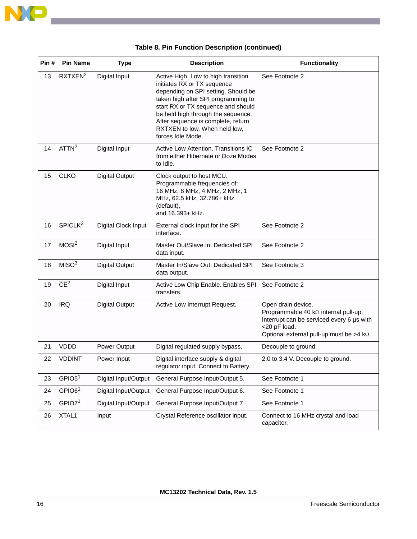

| Pin# | <b>Pin Name</b>         | <b>Type</b>           | <b>Description</b>                                                                                                                                                                                                                                                                                                       | <b>Functionality</b>                                                                                                                                                                   |
|------|-------------------------|-----------------------|--------------------------------------------------------------------------------------------------------------------------------------------------------------------------------------------------------------------------------------------------------------------------------------------------------------------------|----------------------------------------------------------------------------------------------------------------------------------------------------------------------------------------|
| 13   | RXTXEN <sup>2</sup>     | Digital Input         | Active High. Low to high transition<br>initiates RX or TX sequence<br>depending on SPI setting. Should be<br>taken high after SPI programming to<br>start RX or TX sequence and should<br>be held high through the sequence.<br>After sequence is complete, return<br>RXTXEN to low. When held low,<br>forces Idle Mode. | See Footnote 2                                                                                                                                                                         |
| 14   | $\overline{ATTN}^2$     | Digital Input         | Active Low Attention. Transitions IC<br>from either Hibernate or Doze Modes<br>to Idle.                                                                                                                                                                                                                                  | See Footnote 2                                                                                                                                                                         |
| 15   | <b>CLKO</b>             | <b>Digital Output</b> | Clock output to host MCU.<br>Programmable frequencies of:<br>16 MHz, 8 MHz, 4 MHz, 2 MHz, 1<br>MHz, 62.5 kHz, 32.786+ kHz<br>(default),<br>and 16.393+ kHz.                                                                                                                                                              |                                                                                                                                                                                        |
| 16   | SPICLK <sup>2</sup>     | Digital Clock Input   | External clock input for the SPI<br>interface.                                                                                                                                                                                                                                                                           | See Footnote 2                                                                                                                                                                         |
| 17   | MOSI <sup>2</sup>       | Digital Input         | Master Out/Slave In. Dedicated SPI<br>data input.                                                                                                                                                                                                                                                                        | See Footnote 2                                                                                                                                                                         |
| 18   | MISO <sup>3</sup>       | <b>Digital Output</b> | Master In/Slave Out. Dedicated SPI<br>data output.                                                                                                                                                                                                                                                                       | See Footnote 3                                                                                                                                                                         |
| 19   | $\overline{CE}^2$       | Digital Input         | Active Low Chip Enable. Enables SPI<br>transfers.                                                                                                                                                                                                                                                                        | See Footnote 2                                                                                                                                                                         |
| 20   | $\overline{\text{IRQ}}$ | <b>Digital Output</b> | Active Low Interrupt Request.                                                                                                                                                                                                                                                                                            | Open drain device.<br>Programmable 40 k $\Omega$ internal pull-up.<br>Interrupt can be serviced every 6 µs with<br><20 pF load.<br>Optional external pull-up must be $>4$ k $\Omega$ . |
| 21   | <b>VDDD</b>             | Power Output          | Digital regulated supply bypass.                                                                                                                                                                                                                                                                                         | Decouple to ground.                                                                                                                                                                    |
| 22   | <b>VDDINT</b>           | Power Input           | Digital interface supply & digital<br>regulator input. Connect to Battery.                                                                                                                                                                                                                                               | 2.0 to 3.4 V. Decouple to ground.                                                                                                                                                      |
| 23   | GPIO5 <sup>1</sup>      | Digital Input/Output  | General Purpose Input/Output 5.                                                                                                                                                                                                                                                                                          | See Footnote 1                                                                                                                                                                         |
| 24   | GPIO6 <sup>1</sup>      | Digital Input/Output  | General Purpose Input/Output 6.                                                                                                                                                                                                                                                                                          | See Footnote 1                                                                                                                                                                         |
| 25   | GPIO7 <sup>1</sup>      | Digital Input/Output  | General Purpose Input/Output 7.                                                                                                                                                                                                                                                                                          | See Footnote 1                                                                                                                                                                         |
| 26   | XTAL1                   | Input                 | Crystal Reference oscillator input.                                                                                                                                                                                                                                                                                      | Connect to 16 MHz crystal and load<br>capacitor.                                                                                                                                       |

|  | Table 8. Pin Function Description (continued) |
|--|-----------------------------------------------|
|  |                                               |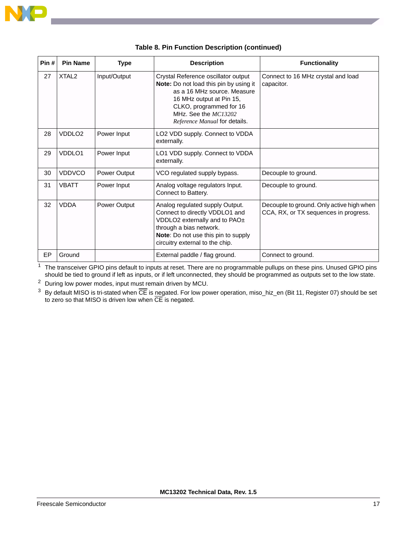

| Pin#      | <b>Pin Name</b>   | <b>Type</b>  | <b>Description</b>                                                                                                                                                                                                           | <b>Functionality</b>                                                               |
|-----------|-------------------|--------------|------------------------------------------------------------------------------------------------------------------------------------------------------------------------------------------------------------------------------|------------------------------------------------------------------------------------|
| 27        | XTAL <sub>2</sub> | Input/Output | Crystal Reference oscillator output<br>Note: Do not load this pin by using it<br>as a 16 MHz source. Measure<br>16 MHz output at Pin 15,<br>CLKO, programmed for 16<br>MHz. See the MC13202<br>Reference Manual for details. | Connect to 16 MHz crystal and load<br>capacitor.                                   |
| 28        | VDDI 02           | Power Input  | LO2 VDD supply. Connect to VDDA<br>externally.                                                                                                                                                                               |                                                                                    |
| 29        | VDDI 01           | Power Input  | LO1 VDD supply. Connect to VDDA<br>externally.                                                                                                                                                                               |                                                                                    |
| 30        | <b>VDDVCO</b>     | Power Output | VCO regulated supply bypass.                                                                                                                                                                                                 | Decouple to ground.                                                                |
| 31        | VBATT             | Power Input  | Analog voltage regulators Input.<br>Connect to Battery.                                                                                                                                                                      | Decouple to ground.                                                                |
| 32        | <b>VDDA</b>       | Power Output | Analog regulated supply Output.<br>Connect to directly VDDLO1 and<br>VDDLO2 externally and to PAO±<br>through a bias network.<br>Note: Do not use this pin to supply<br>circuitry external to the chip.                      | Decouple to ground. Only active high when<br>CCA, RX, or TX sequences in progress. |
| <b>EP</b> | Ground            |              | External paddle / flag ground.                                                                                                                                                                                               | Connect to ground.                                                                 |

|  |  | Table 8. Pin Function Description (continued) |  |
|--|--|-----------------------------------------------|--|
|  |  |                                               |  |

<span id="page-19-0"></span> $1$  The transceiver GPIO pins default to inputs at reset. There are no programmable pullups on these pins. Unused GPIO pins should be tied to ground if left as inputs, or if left unconnected, they should be programmed as outputs set to the low state.

<span id="page-19-1"></span><sup>2</sup> During low power modes, input must remain driven by MCU.

 $3$  By default MISO is tri-stated when  $\overline{\text{CE}}$  is negated. For low power operation, miso\_hiz\_en (Bit 11, Register 07) should be set to zero so that MISO is driven low when CE is negated.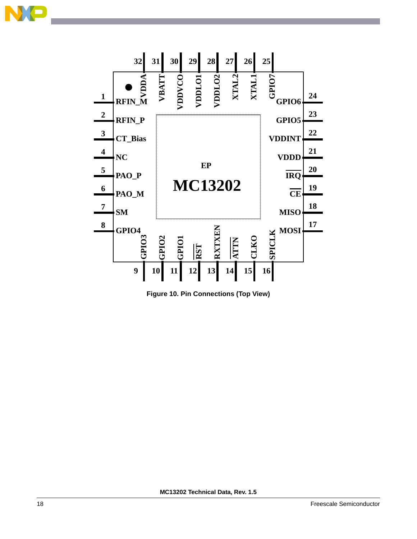



**Figure 10. Pin Connections (Top View)**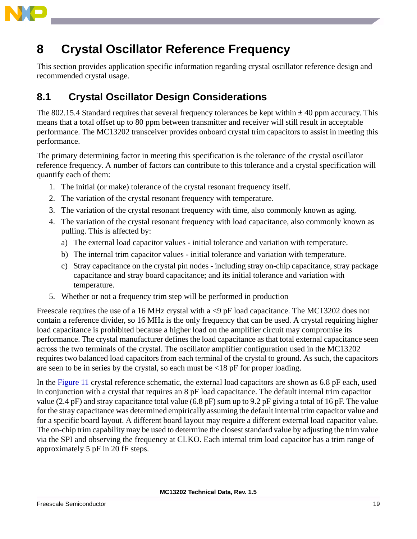

## <span id="page-21-0"></span>**8 Crystal Oscillator Reference Frequency**

This section provides application specific information regarding crystal oscillator reference design and recommended crystal usage.

## **8.1 Crystal Oscillator Design Considerations**

The 802.15.4 Standard requires that several frequency tolerances be kept within  $\pm$  40 ppm accuracy. This means that a total offset up to 80 ppm between transmitter and receiver will still result in acceptable performance. The MC13202 transceiver provides onboard crystal trim capacitors to assist in meeting this performance.

The primary determining factor in meeting this specification is the tolerance of the crystal oscillator reference frequency. A number of factors can contribute to this tolerance and a crystal specification will quantify each of them:

- 1. The initial (or make) tolerance of the crystal resonant frequency itself.
- 2. The variation of the crystal resonant frequency with temperature.
- 3. The variation of the crystal resonant frequency with time, also commonly known as aging.
- 4. The variation of the crystal resonant frequency with load capacitance, also commonly known as pulling. This is affected by:
	- a) The external load capacitor values initial tolerance and variation with temperature.
	- b) The internal trim capacitor values initial tolerance and variation with temperature.
	- c) Stray capacitance on the crystal pin nodes including stray on-chip capacitance, stray package capacitance and stray board capacitance; and its initial tolerance and variation with temperature.
- 5. Whether or not a frequency trim step will be performed in production

Freescale requires the use of a 16 MHz crystal with a <9 pF load capacitance. The MC13202 does not contain a reference divider, so 16 MHz is the only frequency that can be used. A crystal requiring higher load capacitance is prohibited because a higher load on the amplifier circuit may compromise its performance. The crystal manufacturer defines the load capacitance as that total external capacitance seen across the two terminals of the crystal. The oscillator amplifier configuration used in the MC13202 requires two balanced load capacitors from each terminal of the crystal to ground. As such, the capacitors are seen to be in series by the crystal, so each must be  $\langle 18 \text{ pF} \rangle$  for proper loading.

In the [Figure 11](#page-22-0) crystal reference schematic, the external load capacitors are shown as 6.8 pF each, used in conjunction with a crystal that requires an 8 pF load capacitance. The default internal trim capacitor value (2.4 pF) and stray capacitance total value (6.8 pF) sum up to 9.2 pF giving a total of 16 pF. The value for the stray capacitance was determined empirically assuming the default internal trim capacitor value and for a specific board layout. A different board layout may require a different external load capacitor value. The on-chip trim capability may be used to determine the closest standard value by adjusting the trim value via the SPI and observing the frequency at CLKO. Each internal trim load capacitor has a trim range of approximately 5 pF in 20 fF steps.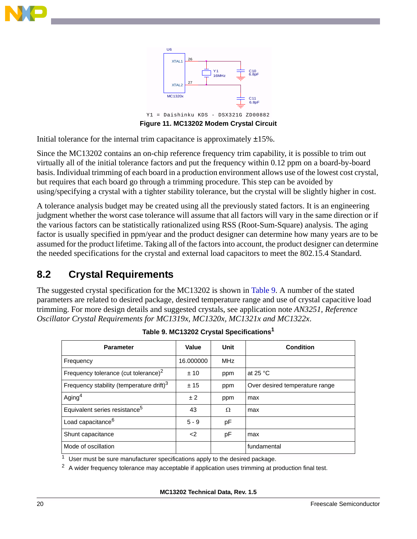



<span id="page-22-0"></span>Initial tolerance for the internal trim capacitance is approximately  $\pm 15\%$ .

Since the MC13202 contains an on-chip reference frequency trim capability, it is possible to trim out virtually all of the initial tolerance factors and put the frequency within 0.12 ppm on a board-by-board basis. Individual trimming of each board in a production environment allows use of the lowest cost crystal, but requires that each board go through a trimming procedure. This step can be avoided by using/specifying a crystal with a tighter stability tolerance, but the crystal will be slightly higher in cost.

A tolerance analysis budget may be created using all the previously stated factors. It is an engineering judgment whether the worst case tolerance will assume that all factors will vary in the same direction or if the various factors can be statistically rationalized using RSS (Root-Sum-Square) analysis. The aging factor is usually specified in ppm/year and the product designer can determine how many years are to be assumed for the product lifetime. Taking all of the factors into account, the product designer can determine the needed specifications for the crystal and external load capacitors to meet the 802.15.4 Standard.

### **8.2 Crystal Requirements**

The suggested crystal specification for the MC13202 is shown in [Table 9.](#page-22-1) A number of the stated parameters are related to desired package, desired temperature range and use of crystal capacitive load trimming. For more design details and suggested crystals, see application note *AN3251, Reference Oscillator Crystal Requirements for MC1319x, MC1320x, MC1321x and MC1322x*.

<span id="page-22-1"></span>

| <b>Parameter</b>                                     | Value     | Unit       | <b>Condition</b>               |
|------------------------------------------------------|-----------|------------|--------------------------------|
| Frequency                                            | 16.000000 | <b>MHz</b> |                                |
| Frequency tolerance (cut tolerance) <sup>2</sup>     | ±10       | ppm        | at 25 $\degree$ C              |
| Frequency stability (temperature drift) <sup>3</sup> | ± 15      | ppm        | Over desired temperature range |
| Aging <sup>4</sup>                                   | ± 2       | ppm        | max                            |
| Equivalent series resistance <sup>5</sup>            | 43        | Ω          | max                            |
| Load capacitance <sup>6</sup>                        | $5 - 9$   | рF         |                                |
| Shunt capacitance                                    | $\leq$    | pF         | max                            |
| Mode of oscillation                                  |           |            | fundamental                    |

**Table 9. MC13202 Crystal Specifications<sup>1</sup>**

User must be sure manufacturer specifications apply to the desired package.

 $2$  A wider frequency tolerance may acceptable if application uses trimming at production final test.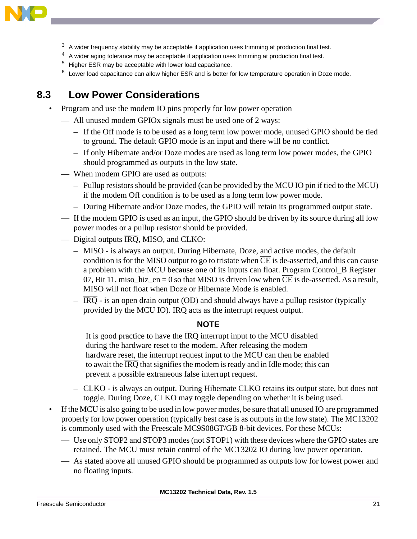

- $3\,$  A wider frequency stability may be acceptable if application uses trimming at production final test.
- <sup>4</sup> A wider aging tolerance may be acceptable if application uses trimming at production final test.
- <sup>5</sup> Higher ESR may be acceptable with lower load capacitance.
- <sup>6</sup> Lower load capacitance can allow higher ESR and is better for low temperature operation in Doze mode.

#### <span id="page-23-0"></span>**8.3 Low Power Considerations**

• Program and use the modem IO pins properly for low power operation

— All unused modem GPIOx signals must be used one of 2 ways:

- If the Off mode is to be used as a long term low power mode, unused GPIO should be tied to ground. The default GPIO mode is an input and there will be no conflict.
- If only Hibernate and/or Doze modes are used as long term low power modes, the GPIO should programmed as outputs in the low state.
- When modem GPIO are used as outputs:
	- Pullup resistors should be provided (can be provided by the MCU IO pin if tied to the MCU) if the modem Off condition is to be used as a long term low power mode.
	- During Hibernate and/or Doze modes, the GPIO will retain its programmed output state.
- If the modem GPIO is used as an input, the GPIO should be driven by its source during all low power modes or a pullup resistor should be provided.
- Digital outputs  $\overline{IRQ}$ , MISO, and CLKO:
	- MISO is always an output. During Hibernate, Doze, and active modes, the default condition is for the MISO output to go to tristate when  $\overline{CE}$  is de-asserted, and this can cause a problem with the MCU because one of its inputs can float. Program Control\_B Register 07, Bit 11, miso hiz  $en = 0$  so that MISO is driven low when CE is de-asserted. As a result, MISO will not float when Doze or Hibernate Mode is enabled.
	- $-\overline{IRQ}$  is an open drain output (OD) and should always have a pullup resistor (typically provided by the MCU IO). IRQ acts as the interrupt request output.

#### **NOTE**

It is good practice to have the  $\overline{IRO}$  interrupt input to the MCU disabled during the hardware reset to the modem. After releasing the modem hardware reset, the interrupt request input to the MCU can then be enabled to await the  $\overline{IRO}$  that signifies the modem is ready and in Idle mode; this can prevent a possible extraneous false interrupt request.

- CLKO is always an output. During Hibernate CLKO retains its output state, but does not toggle. During Doze, CLKO may toggle depending on whether it is being used.
- If the MCU is also going to be used in low power modes, be sure that all unused IO are programmed properly for low power operation (typically best case is as outputs in the low state). The MC13202 is commonly used with the Freescale MC9S08GT/GB 8-bit devices. For these MCUs:
	- Use only STOP2 and STOP3 modes (not STOP1) with these devices where the GPIO states are retained. The MCU must retain control of the MC13202 IO during low power operation.
	- As stated above all unused GPIO should be programmed as outputs low for lowest power and no floating inputs.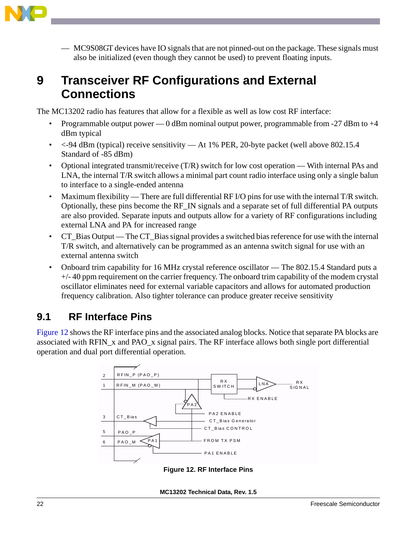

— MC9S08GT devices have IO signals that are not pinned-out on the package. These signals must also be initialized (even though they cannot be used) to prevent floating inputs.

## <span id="page-24-0"></span>**9 Transceiver RF Configurations and External Connections**

The MC13202 radio has features that allow for a flexible as well as low cost RF interface:

- Programmable output power 0 dBm nominal output power, programmable from  $-27$  dBm to  $+4$ dBm typical
- <-94 dBm (typical) receive sensitivity At 1% PER, 20-byte packet (well above 802.15.4 Standard of -85 dBm)
- Optional integrated transmit/receive (T/R) switch for low cost operation With internal PAs and LNA, the internal T/R switch allows a minimal part count radio interface using only a single balun to interface to a single-ended antenna
- Maximum flexibility There are full differential RF I/O pins for use with the internal T/R switch. Optionally, these pins become the RF\_IN signals and a separate set of full differential PA outputs are also provided. Separate inputs and outputs allow for a variety of RF configurations including external LNA and PA for increased range
- CT\_Bias Output The CT\_Bias signal provides a switched bias reference for use with the internal T/R switch, and alternatively can be programmed as an antenna switch signal for use with an external antenna switch
- Onboard trim capability for 16 MHz crystal reference oscillator The 802.15.4 Standard puts a +/- 40 ppm requirement on the carrier frequency. The onboard trim capability of the modem crystal oscillator eliminates need for external variable capacitors and allows for automated production frequency calibration. Also tighter tolerance can produce greater receive sensitivity

### **9.1 RF Interface Pins**

[Figure 12](#page-24-1) shows the RF interface pins and the associated analog blocks. Notice that separate PA blocks are associated with RFIN\_x and PAO\_x signal pairs. The RF interface allows both single port differential operation and dual port differential operation.

<span id="page-24-1"></span>

**Figure 12. RF Interface Pins**

**MC13202 Technical Data, Rev. 1.5**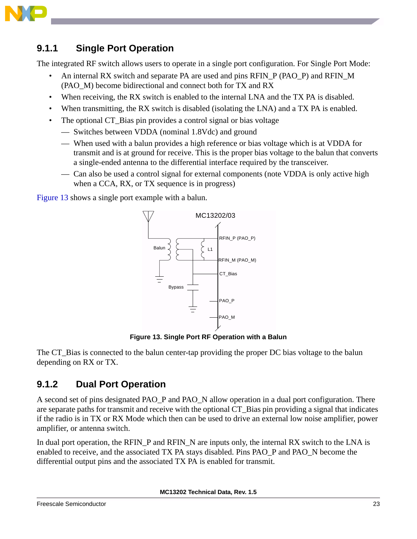

#### <span id="page-25-2"></span>**9.1.1 Single Port Operation**

The integrated RF switch allows users to operate in a single port configuration. For Single Port Mode:

- An internal RX switch and separate PA are used and pins RFIN P (PAO\_P) and RFIN\_M (PAO\_M) become bidirectional and connect both for TX and RX
- When receiving, the RX switch is enabled to the internal LNA and the TX PA is disabled.
- When transmitting, the RX switch is disabled (isolating the LNA) and a TX PA is enabled.
- The optional CT Bias pin provides a control signal or bias voltage
	- Switches between VDDA (nominal 1.8Vdc) and ground
	- When used with a balun provides a high reference or bias voltage which is at VDDA for transmit and is at ground for receive. This is the proper bias voltage to the balun that converts a single-ended antenna to the differential interface required by the transceiver.
	- Can also be used a control signal for external components (note VDDA is only active high when a CCA, RX, or TX sequence is in progress)

[Figure 13](#page-25-0) shows a single port example with a balun.



**Figure 13. Single Port RF Operation with a Balun**

<span id="page-25-0"></span>The CT Bias is connected to the balun center-tap providing the proper DC bias voltage to the balun depending on RX or TX.

#### <span id="page-25-1"></span>**9.1.2 Dual Port Operation**

A second set of pins designated PAO\_P and PAO\_N allow operation in a dual port configuration. There are separate paths for transmit and receive with the optional CT\_Bias pin providing a signal that indicates if the radio is in TX or RX Mode which then can be used to drive an external low noise amplifier, power amplifier, or antenna switch.

In dual port operation, the RFIN P and RFIN N are inputs only, the internal RX switch to the LNA is enabled to receive, and the associated TX PA stays disabled. Pins PAO\_P and PAO\_N become the differential output pins and the associated TX PA is enabled for transmit.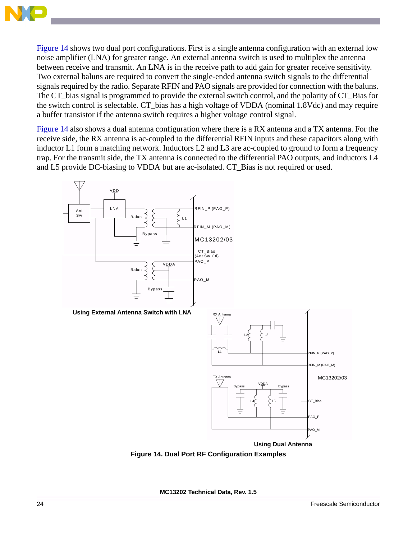

[Figure 14](#page-26-0) shows two dual port configurations. First is a single antenna configuration with an external low noise amplifier (LNA) for greater range. An external antenna switch is used to multiplex the antenna between receive and transmit. An LNA is in the receive path to add gain for greater receive sensitivity. Two external baluns are required to convert the single-ended antenna switch signals to the differential signals required by the radio. Separate RFIN and PAO signals are provided for connection with the baluns. The CT\_bias signal is programmed to provide the external switch control, and the polarity of CT\_Bias for the switch control is selectable. CT\_bias has a high voltage of VDDA (nominal 1.8Vdc) and may require a buffer transistor if the antenna switch requires a higher voltage control signal.

[Figure 14](#page-26-0) also shows a dual antenna configuration where there is a RX antenna and a TX antenna. For the receive side, the RX antenna is ac-coupled to the differential RFIN inputs and these capacitors along with inductor L1 form a matching network. Inductors L2 and L3 are ac-coupled to ground to form a frequency trap. For the transmit side, the TX antenna is connected to the differential PAO outputs, and inductors L4 and L5 provide DC-biasing to VDDA but are ac-isolated. CT\_Bias is not required or used.



<span id="page-26-0"></span>**Figure 14. Dual Port RF Configuration Examples**

**MC13202 Technical Data, Rev. 1.5**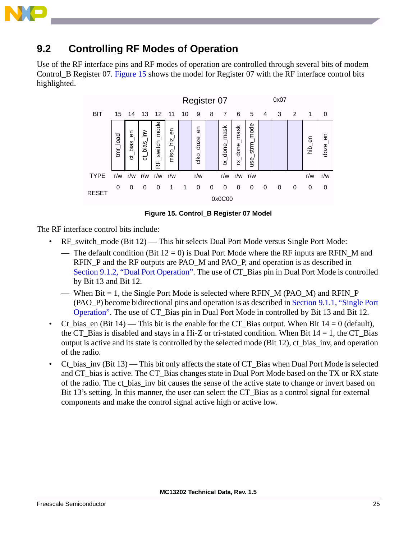

#### **9.2 Controlling RF Modes of Operation**

Use of the RF interface pins and RF modes of operation are controlled through several bits of modem Control B Register 07. [Figure 15](#page-27-0) shows the model for Register 07 with the RF interface control bits highlighted.



**Figure 15. Control\_B Register 07 Model**

<span id="page-27-0"></span>The RF interface control bits include:

- RF\_switch\_mode (Bit 12) This bit selects Dual Port Mode versus Single Port Mode:
	- The default condition (Bit  $12 = 0$ ) is Dual Port Mode where the RF inputs are RFIN M and RFIN P and the RF outputs are PAO\_M and PAO\_P, and operation is as described in [Section 9.1.2, "Dual Port Operation".](#page-25-1) The use of CT\_Bias pin in Dual Port Mode is controlled by Bit 13 and Bit 12.
	- When Bit  $= 1$ , the Single Port Mode is selected where RFIN M (PAO M) and RFIN P (PAO\_P) become bidirectional pins and operation is as described in [Section 9.1.1, "Single Port](#page-25-2)  [Operation"](#page-25-2). The use of CT\_Bias pin in Dual Port Mode in controlled by Bit 13 and Bit 12.
- Ct bias en (Bit 14) This bit is the enable for the CT Bias output. When Bit  $14 = 0$  (default), the CT\_Bias is disabled and stays in a Hi-Z or tri-stated condition. When Bit  $14 = 1$ , the CT\_Bias output is active and its state is controlled by the selected mode (Bit 12), ct\_bias\_inv, and operation of the radio.
- Ct bias  $inv$  (Bit 13) This bit only affects the state of CT Bias when Dual Port Mode is selected and CT bias is active. The CT Bias changes state in Dual Port Mode based on the TX or RX state of the radio. The ct\_bias\_inv bit causes the sense of the active state to change or invert based on Bit 13's setting. In this manner, the user can select the CT\_Bias as a control signal for external components and make the control signal active high or active low.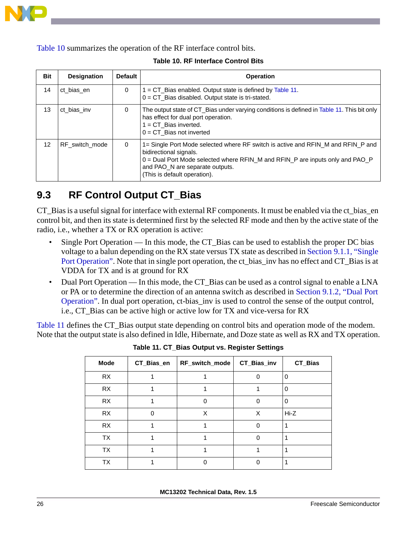

<span id="page-28-0"></span>[Table 10](#page-28-0) summarizes the operation of the RF interface control bits.

| Bit             | <b>Designation</b> | <b>Default</b> | <b>Operation</b>                                                                                                                                                                                                                                                 |
|-----------------|--------------------|----------------|------------------------------------------------------------------------------------------------------------------------------------------------------------------------------------------------------------------------------------------------------------------|
| 14              | ct bias en         | 0              | $=$ CT_Bias enabled. Output state is defined by Table 11.<br>$0 = CT$ _Bias disabled. Output state is tri-stated.                                                                                                                                                |
| 13              | ct_bias_inv        | $\Omega$       | The output state of CT_Bias under varying conditions is defined in Table 11. This bit only<br>has effect for dual port operation.<br>$= C T_B is inverted.$<br>$0 = CT$ Bias not inverted                                                                        |
| 12 <sup>2</sup> | RF switch mode     | $\Omega$       | 1= Single Port Mode selected where RF switch is active and RFIN_M and RFIN_P and<br>bidirectional signals.<br>$0 =$ Dual Port Mode selected where RFIN_M and RFIN_P are inputs only and PAO_P<br>and PAO_N are separate outputs.<br>(This is default operation). |

#### **Table 10. RF Interface Control Bits**

### **9.3 RF Control Output CT\_Bias**

CT\_Bias is a useful signal for interface with external RF components. It must be enabled via the ct\_bias\_en control bit, and then its state is determined first by the selected RF mode and then by the active state of the radio, i.e., whether a TX or RX operation is active:

- Single Port Operation In this mode, the CT\_Bias can be used to establish the proper DC bias voltage to a balun depending on the RX state versus TX state as described in [Section 9.1.1, "Single](#page-25-2)  [Port Operation".](#page-25-2) Note that in single port operation, the ct\_bias\_inv has no effect and CT\_Bias is at VDDA for TX and is at ground for RX
- Dual Port Operation In this mode, the CT\_Bias can be used as a control signal to enable a LNA or PA or to determine the direction of an antenna switch as described in [Section 9.1.2, "Dual Port](#page-25-1)  [Operation"](#page-25-1). In dual port operation, ct-bias\_inv is used to control the sense of the output control, i.e., CT\_Bias can be active high or active low for TX and vice-versa for RX

<span id="page-28-1"></span>[Table 11](#page-28-1) defines the CT\_Bias output state depending on control bits and operation mode of the modem. Note that the output state is also defined in Idle, Hibernate, and Doze state as well as RX and TX operation.

| <b>Mode</b> | CT_Bias_en | RF_switch_mode | CT_Bias_inv | CT_Bias |
|-------------|------------|----------------|-------------|---------|
| RX          |            |                |             | 0       |
| <b>RX</b>   |            |                |             | 0       |
| <b>RX</b>   |            | 0              | 0           | O       |
| RX          | n          | X              | X           | $Hi-Z$  |
| <b>RX</b>   |            |                | O           |         |
| <b>TX</b>   |            |                | ი           |         |
| <b>TX</b>   |            |                |             |         |
| <b>TX</b>   |            |                |             |         |

**Table 11. CT\_Bias Output vs. Register Settings**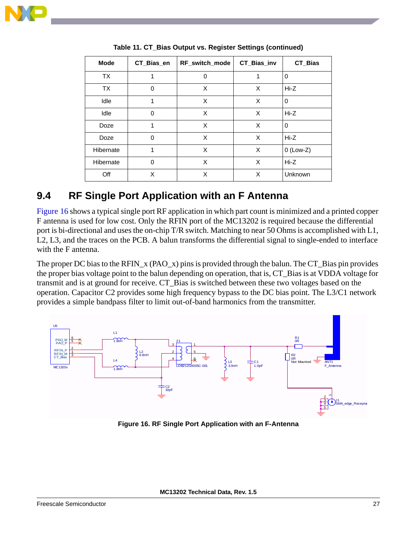

| <b>Mode</b> | CT_Bias_en | RF_switch_mode | CT_Bias_inv | CT_Bias     |
|-------------|------------|----------------|-------------|-------------|
| <b>TX</b>   |            | 0              |             | $\Omega$    |
| <b>TX</b>   | 0          | X              | X           | $Hi-Z$      |
| Idle        | 1          | X              | X           | 0           |
| Idle        | $\Omega$   | X              | X           | $Hi-Z$      |
| Doze        | 1          | X              | X           | $\Omega$    |
| Doze        | $\Omega$   | X              | X           | $Hi-Z$      |
| Hibernate   | 1          | X              | X           | $0$ (Low-Z) |
| Hibernate   | 0          | X              | X           | Hi-Z        |
| Off         | X          | X              | X           | Unknown     |

**Table 11. CT\_Bias Output vs. Register Settings (continued)**

#### **9.4 RF Single Port Application with an F Antenna**

[Figure 16](#page-29-0) shows a typical single port RF application in which part count is minimized and a printed copper F antenna is used for low cost. Only the RFIN port of the MC13202 is required because the differential port is bi-directional and uses the on-chip T/R switch. Matching to near 50 Ohms is accomplished with L1, L2, L3, and the traces on the PCB. A balun transforms the differential signal to single-ended to interface with the F antenna.

The proper DC bias to the RFIN\_x (PAO\_x) pins is provided through the balun. The CT\_Bias pin provides the proper bias voltage point to the balun depending on operation, that is, CT\_Bias is at VDDA voltage for transmit and is at ground for receive. CT\_Bias is switched between these two voltages based on the operation. Capacitor C2 provides some high frequency bypass to the DC bias point. The L3/C1 network provides a simple bandpass filter to limit out-of-band harmonics from the transmitter.



<span id="page-29-0"></span>**Figure 16. RF Single Port Application with an F-Antenna**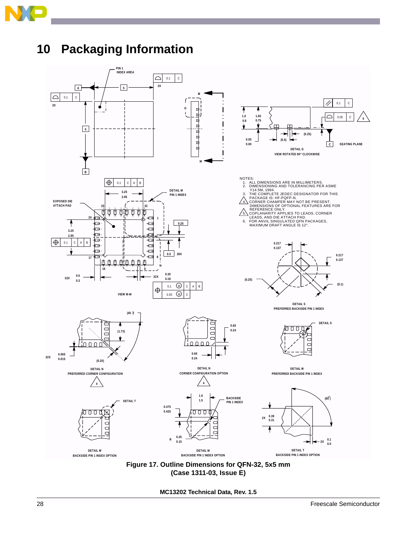<span id="page-30-0"></span>

## <span id="page-30-1"></span>**10 Packaging Information**



**Figure 17. Outline Dimensions for QFN-32, 5x5 mm (Case 1311-03, Issue E)**

**MC13202 Technical Data, Rev. 1.5**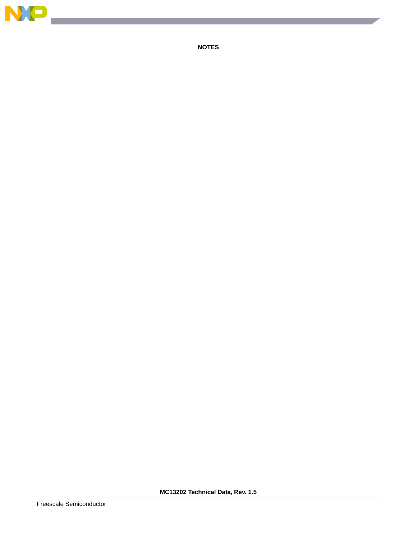

**NOTES**